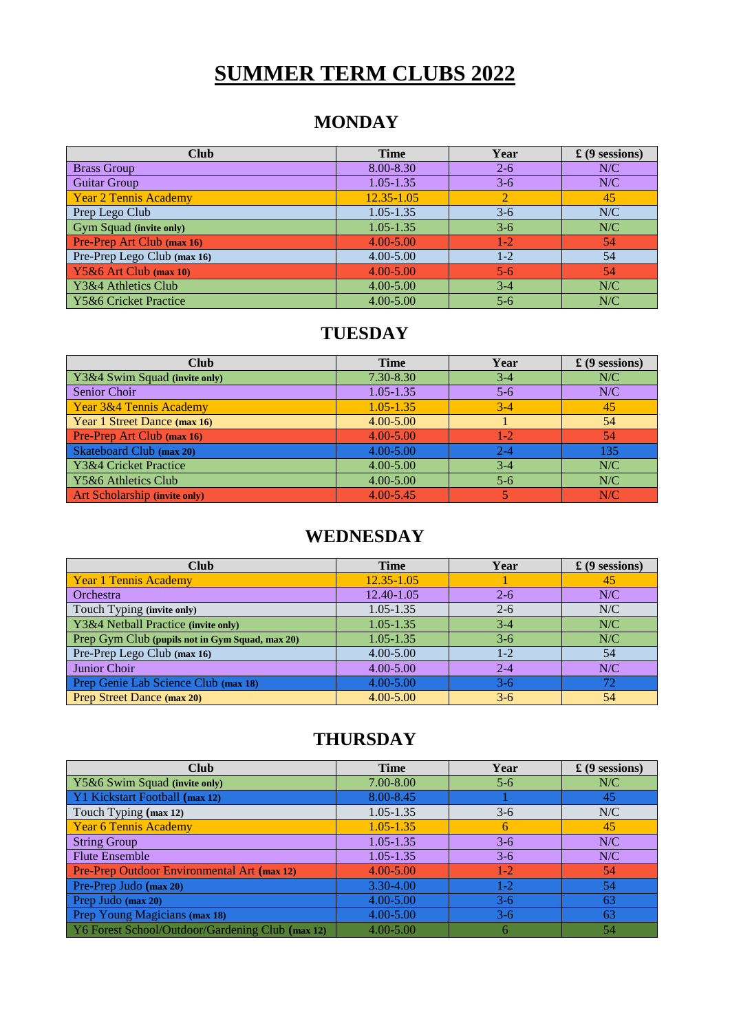# **SUMMER TERM CLUBS 2022**

#### **MONDAY**

| <b>Club</b>                    | <b>Time</b>    | Year      | $\pounds$ (9 sessions) |
|--------------------------------|----------------|-----------|------------------------|
| <b>Brass Group</b>             | 8.00-8.30      | $2 - 6$   | N/C                    |
| <b>Guitar Group</b>            | $1.05 - 1.35$  | $3 - 6$   | N/C                    |
| <b>Year 2 Tennis Academy</b>   | $12.35 - 1.05$ |           | 45                     |
| Prep Lego Club                 | 1.05-1.35      | $3-6$     | N/C                    |
| <b>Gym Squad (invite only)</b> | 1.05-1.35      | $3-6$     | N/C                    |
| Pre-Prep Art Club (max 16)     | $4.00 - 5.00$  | $1-2^{-}$ | 54                     |
| Pre-Prep Lego Club (max 16)    | $4.00 - 5.00$  | $1-2$     | 54                     |
| $\big $ Y5&6 Art Club (max 10) | $4.00 - 5.00$  | $5 - 6$   | 54                     |
| Y3&4 Athletics Club            | $4.00 - 5.00$  | $3-4$     | N/C                    |
| Y5&6 Cricket Practice          | $4.00 - 5.00$  | $5 - 6$   | N/C                    |

### **TUESDAY**

| <b>Club</b>                          | <b>Time</b>   | Year    | $\pounds$ (9 sessions) |
|--------------------------------------|---------------|---------|------------------------|
| Y3&4 Swim Squad (invite only)        | 7.30-8.30     | $3-4$   | N/C                    |
| Senior Choir                         | $1.05 - 1.35$ | $5 - 6$ | N/C                    |
| Year 3&4 Tennis Academy              | $1.05 - 1.35$ | $3 - 4$ | 45                     |
| Year 1 Street Dance (max 16)         | $4.00 - 5.00$ |         | 54                     |
| Pre-Prep Art Club (max 16)           | $4.00 - 5.00$ | $1-2$   | 54                     |
| Skateboard Club (max 20)             | $4.00 - 5.00$ | $2 - 4$ | 135                    |
| Y3&4 Cricket Practice                | $4.00 - 5.00$ | $3 - 4$ | N/C                    |
| Y5&6 Athletics Club                  | $4.00 - 5.00$ | $5 - 6$ | N/C                    |
| <b>Art Scholarship (invite only)</b> | $4.00 - 5.45$ |         | N/C                    |

## **WEDNESDAY**

| <b>Club</b>                                     | <b>Time</b>    | Year    | $\pounds$ (9 sessions) |
|-------------------------------------------------|----------------|---------|------------------------|
| Year 1 Tennis Academy                           | $12.35 - 1.05$ |         | 45                     |
| Orchestra                                       | 12.40-1.05     | $2 - 6$ | N/C                    |
| Touch Typing (invite only)                      | $1.05 - 1.35$  | $2 - 6$ | N/C                    |
| Y3&4 Netball Practice (invite only)             | $1.05 - 1.35$  | $3-4$   | N/C                    |
| Prep Gym Club (pupils not in Gym Squad, max 20) | $1.05 - 1.35$  | $3-6$   | N/C                    |
| Pre-Prep Lego Club (max 16)                     | $4.00 - 5.00$  | $1-2$   | 54                     |
| Junior Choir                                    | $4.00 - 5.00$  | $2 - 4$ | N/C                    |
| Prep Genie Lab Science Club (max 18)            | 4.00-5.00      | $3-6$   |                        |
| Prep Street Dance (max 20)                      | $4.00 - 5.00$  | $3-6$   | 54                     |

### **THURSDAY**

| <b>Club</b>                                      | <b>Time</b>   | Year  | $\pounds$ (9 sessions) |
|--------------------------------------------------|---------------|-------|------------------------|
| Y5&6 Swim Squad (invite only)                    | 7.00-8.00     | $5-6$ | N/C                    |
| Y1 Kickstart Football (max 12)                   | 8.00-8.45     |       | 45                     |
| Touch Typing (max 12)                            | $1.05 - 1.35$ | $3-6$ | N/C                    |
| Year 6 Tennis Academy                            | $1.05 - 1.35$ | 6     | 45                     |
| <b>String Group</b>                              | $1.05 - 1.35$ | $3-6$ | N/C                    |
| <b>Flute Ensemble</b>                            | $1.05 - 1.35$ | $3-6$ | N/C                    |
| Pre-Prep Outdoor Environmental Art (max 12)      | $4.00 - 5.00$ | $1-2$ | 54                     |
| Pre-Prep Judo (max 20)                           | 3.30-4.00     | $1-2$ | 54                     |
| Prep Judo (max 20)                               | $4.00 - 5.00$ | $3-6$ | 63                     |
| Prep Young Magicians (max 18)                    | $4.00 - 5.00$ | $3-6$ | 63                     |
| Y6 Forest School/Outdoor/Gardening Club (max 12) | $4.00 - 5.00$ | 6     | 54                     |